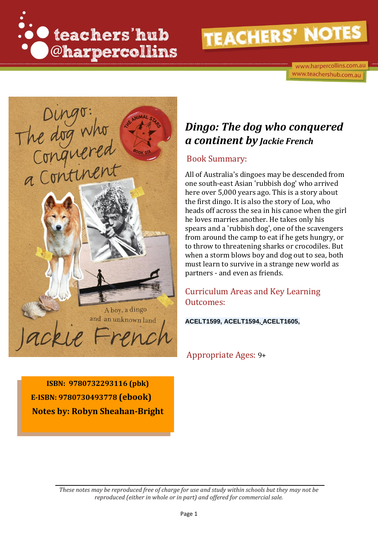

www.harpercollins.com.au www.teachershub.com.au



# *Dingo: The dog who conquered a continent by Jackie French*

#### Book Summary:

All of Australia's dingoes may be descended from one south-east Asian 'rubbish dog' who arrived here over 5,000 years ago. This is a story about the first dingo. It is also the story of Loa, who heads off across the sea in his canoe when the girl he loves marries another. He takes only his spears and a 'rubbish dog', one of the scavengers from around the camp to eat if he gets hungry, or to throw to threatening sharks or crocodiles. But when a storm blows boy and dog out to sea, both must learn to survive in a strange new world as partners - and even as friends.

# Curriculum Areas and Key Learning Outcomes:

#### **ACELT1599, ACELT1594, ACELT1605,**

Appropriate Ages: 9+

**ISBN: 9780732293116 (pbk) E-ISBN: 9780730493778 (ebook) Notes by: Robyn Sheahan-Bright**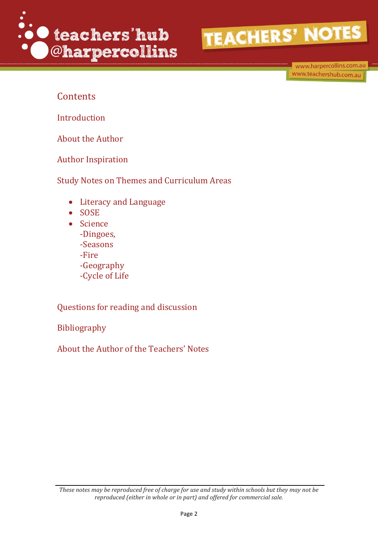

www.harpercollins.com.au www.teachershub.com.au

# **Contents**

Introduction

About the Author

Author Inspiration

Study Notes on Themes and Curriculum Areas

- Literacy and Language
- $\bullet$  SOSE
- Science -Dingoes, -Seasons
	- -Fire
	- -Geography
	- -Cycle of Life

Questions for reading and discussion

Bibliography

About the Author of the Teachers' Notes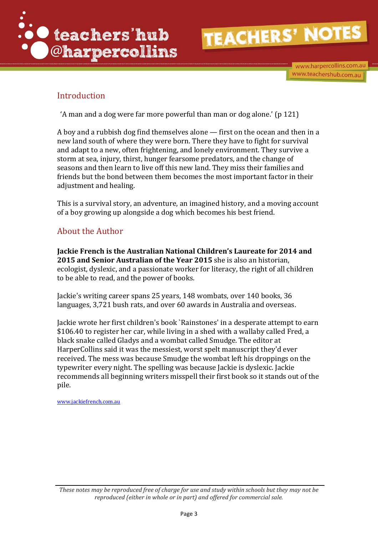

www.harpercollins.com.au www.teachershub.com.au

# Introduction

'A man and a dog were far more powerful than man or dog alone.' (p 121)

A boy and a rubbish dog find themselves alone — first on the ocean and then in a new land south of where they were born. There they have to fight for survival and adapt to a new, often frightening, and lonely environment. They survive a storm at sea, injury, thirst, hunger fearsome predators, and the change of seasons and then learn to live off this new land. They miss their families and friends but the bond between them becomes the most important factor in their adjustment and healing.

This is a survival story, an adventure, an imagined history, and a moving account of a boy growing up alongside a dog which becomes his best friend.

### About the Author

**Jackie French is the Australian National Children's Laureate for 2014 and 2015 and Senior Australian of the Year 2015** she is also an historian, ecologist, dyslexic, and a passionate worker for literacy, the right of all children to be able to read, and the power of books.

Jackie's writing career spans 25 years, 148 wombats, over 140 books, 36 languages, 3,721 bush rats, and over 60 awards in Australia and overseas.

Jackie wrote her first children's book `Rainstones' in a desperate attempt to earn \$106.40 to register her car, while living in a shed with a wallaby called Fred, a black snake called Gladys and a wombat called Smudge. The editor at HarperCollins said it was the messiest, worst spelt manuscript they'd ever received. The mess was because Smudge the wombat left his droppings on the typewriter every night. The spelling was because Jackie is dyslexic. Jackie recommends all beginning writers misspell their first book so it stands out of the pile.

[www.jackiefrench.com.au](http://www.jackiefrench.com.au/)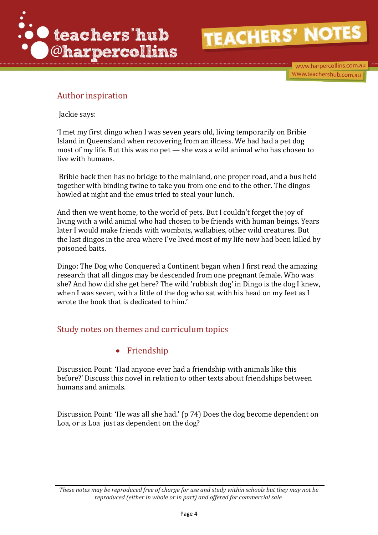

www.harpercollins.com.au www.teachershub.com.au

# Author inspiration

Jackie says:

'I met my first dingo when I was seven years old, living temporarily on Bribie Island in Queensland when recovering from an illness. We had had a pet dog most of my life. But this was no pet — she was a wild animal who has chosen to live with humans.

Bribie back then has no bridge to the mainland, one proper road, and a bus held together with binding twine to take you from one end to the other. The dingos howled at night and the emus tried to steal your lunch.

And then we went home, to the world of pets. But I couldn't forget the joy of living with a wild animal who had chosen to be friends with human beings. Years later I would make friends with wombats, wallabies, other wild creatures. But the last dingos in the area where I've lived most of my life now had been killed by poisoned baits.

Dingo: The Dog who Conquered a Continent began when I first read the amazing research that all dingos may be descended from one pregnant female. Who was she? And how did she get here? The wild 'rubbish dog' in Dingo is the dog I knew, when I was seven, with a little of the dog who sat with his head on my feet as I wrote the book that is dedicated to him.'

# Study notes on themes and curriculum topics

#### • Friendship

Discussion Point: 'Had anyone ever had a friendship with animals like this before?' Discuss this novel in relation to other texts about friendships between humans and animals.

Discussion Point: 'He was all she had.' (p 74) Does the dog become dependent on Loa, or is Loa just as dependent on the dog?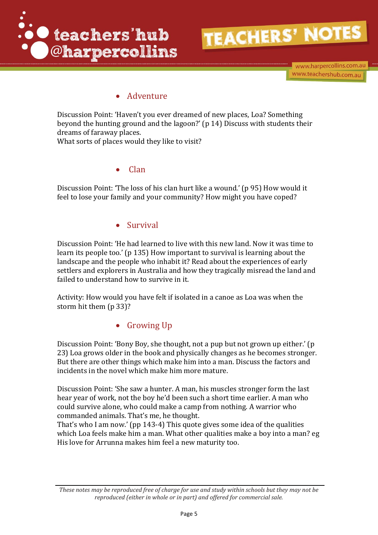



www.harpercollins.com.au www.teachershub.com.au

### • Adventure

Discussion Point: 'Haven't you ever dreamed of new places, Loa? Something beyond the hunting ground and the lagoon?' (p 14) Discuss with students their dreams of faraway places. What sorts of places would they like to visit?

Clan

Discussion Point: 'The loss of his clan hurt like a wound.' (p 95) How would it feel to lose your family and your community? How might you have coped?

#### Survival

Discussion Point: 'He had learned to live with this new land. Now it was time to learn its people too.' (p 135) How important to survival is learning about the landscape and the people who inhabit it? Read about the experiences of early settlers and explorers in Australia and how they tragically misread the land and failed to understand how to survive in it.

Activity: How would you have felt if isolated in a canoe as Loa was when the storm hit them (p 33)?

• Growing Up

Discussion Point: 'Bony Boy, she thought, not a pup but not grown up either.' (p 23) Loa grows older in the book and physically changes as he becomes stronger. But there are other things which make him into a man. Discuss the factors and incidents in the novel which make him more mature.

Discussion Point: 'She saw a hunter. A man, his muscles stronger form the last hear year of work, not the boy he'd been such a short time earlier. A man who could survive alone, who could make a camp from nothing. A warrior who commanded animals. That's me, he thought.

That's who I am now.' (pp 143-4) This quote gives some idea of the qualities which Loa feels make him a man. What other qualities make a boy into a man? eg His love for Arrunna makes him feel a new maturity too.

*These notes may be reproduced free of charge for use and study within schools but they may not be reproduced (either in whole or in part) and offered for commercial sale.*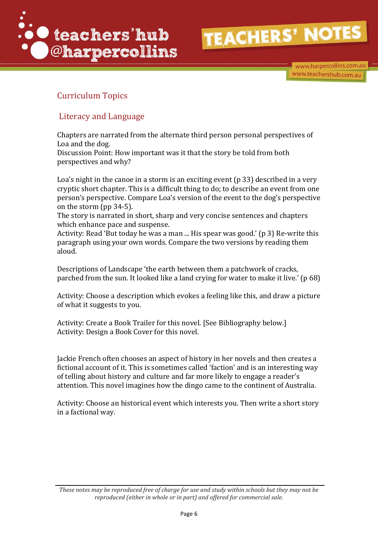

www.harpercollins.com.au www.teachershub.com.au

# Curriculum Topics

### Literacy and Language

Chapters are narrated from the alternate third person personal perspectives of Loa and the dog.

Discussion Point: How important was it that the story be told from both perspectives and why?

Loa's night in the canoe in a storm is an exciting event (p 33) described in a very cryptic short chapter. This is a difficult thing to do; to describe an event from one person's perspective. Compare Loa's version of the event to the dog's perspective on the storm (pp 34-5).

The story is narrated in short, sharp and very concise sentences and chapters which enhance pace and suspense.

Activity: Read 'But today he was a man ... His spear was good.' (p 3) Re-write this paragraph using your own words. Compare the two versions by reading them aloud.

Descriptions of Landscape 'the earth between them a patchwork of cracks, parched from the sun. It looked like a land crying for water to make it live.' (p 68)

Activity: Choose a description which evokes a feeling like this, and draw a picture of what it suggests to you.

Activity: Create a Book Trailer for this novel. [See Bibliography below.] Activity: Design a Book Cover for this novel.

Jackie French often chooses an aspect of history in her novels and then creates a fictional account of it. This is sometimes called 'faction' and is an interesting way of telling about history and culture and far more likely to engage a reader's attention. This novel imagines how the dingo came to the continent of Australia.

Activity: Choose an historical event which interests you. Then write a short story in a factional way.

*These notes may be reproduced free of charge for use and study within schools but they may not be reproduced (either in whole or in part) and offered for commercial sale.*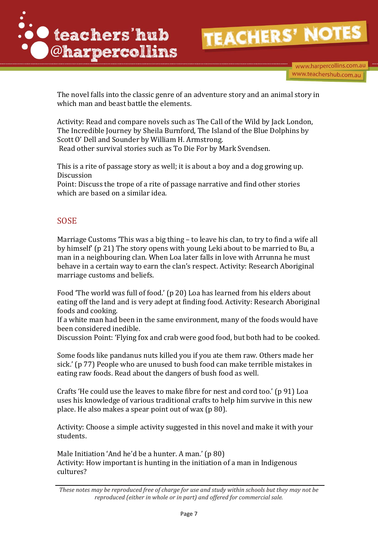

www.harpercollins.com.au www.teachershub.com.au

The novel falls into the classic genre of an adventure story and an animal story in which man and beast battle the elements.

Activity: Read and compare novels such as The Call of the Wild by Jack London, The Incredible Journey by Sheila Burnford, The Island of the Blue Dolphins by Scott O' Dell and Sounder by William H. Armstrong. Read other survival stories such as To Die For by Mark Svendsen.

This is a rite of passage story as well; it is about a boy and a dog growing up. Discussion

Point: Discuss the trope of a rite of passage narrative and find other stories which are based on a similar idea.

#### SOSE

Marriage Customs 'This was a big thing – to leave his clan, to try to find a wife all by himself' (p 21) The story opens with young Leki about to be married to Bu, a man in a neighbouring clan. When Loa later falls in love with Arrunna he must behave in a certain way to earn the clan's respect. Activity: Research Aboriginal marriage customs and beliefs.

Food 'The world was full of food.' (p 20) Loa has learned from his elders about eating off the land and is very adept at finding food. Activity: Research Aboriginal foods and cooking.

If a white man had been in the same environment, many of the foods would have been considered inedible.

Discussion Point: 'Flying fox and crab were good food, but both had to be cooked.

Some foods like pandanus nuts killed you if you ate them raw. Others made her sick.' (p 77) People who are unused to bush food can make terrible mistakes in eating raw foods. Read about the dangers of bush food as well.

Crafts 'He could use the leaves to make fibre for nest and cord too.' (p 91) Loa uses his knowledge of various traditional crafts to help him survive in this new place. He also makes a spear point out of wax (p 80).

Activity: Choose a simple activity suggested in this novel and make it with your students.

Male Initiation 'And he'd be a hunter. A man.' (p 80) Activity: How important is hunting in the initiation of a man in Indigenous cultures?

*These notes may be reproduced free of charge for use and study within schools but they may not be reproduced (either in whole or in part) and offered for commercial sale.*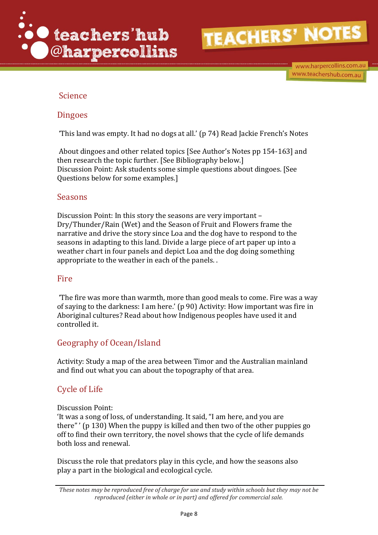

#### Science

#### Dingoes

'This land was empty. It had no dogs at all.' (p 74) Read Jackie French's Notes

About dingoes and other related topics [See Author's Notes pp 154-163] and then research the topic further. [See Bibliography below.] Discussion Point: Ask students some simple questions about dingoes. [See Questions below for some examples.]

#### Seasons

Discussion Point: In this story the seasons are very important – Dry/Thunder/Rain (Wet) and the Season of Fruit and Flowers frame the narrative and drive the story since Loa and the dog have to respond to the seasons in adapting to this land. Divide a large piece of art paper up into a weather chart in four panels and depict Loa and the dog doing something appropriate to the weather in each of the panels. .

#### Fire

'The fire was more than warmth, more than good meals to come. Fire was a way of saying to the darkness: I am here.' (p 90) Activity: How important was fire in Aboriginal cultures? Read about how Indigenous peoples have used it and controlled it.

#### Geography of Ocean/Island

Activity: Study a map of the area between Timor and the Australian mainland and find out what you can about the topography of that area.

#### Cycle of Life

#### Discussion Point:

'It was a song of loss, of understanding. It said, "I am here, and you are there" ' (p 130) When the puppy is killed and then two of the other puppies go off to find their own territory, the novel shows that the cycle of life demands both loss and renewal.

Discuss the role that predators play in this cycle, and how the seasons also play a part in the biological and ecological cycle.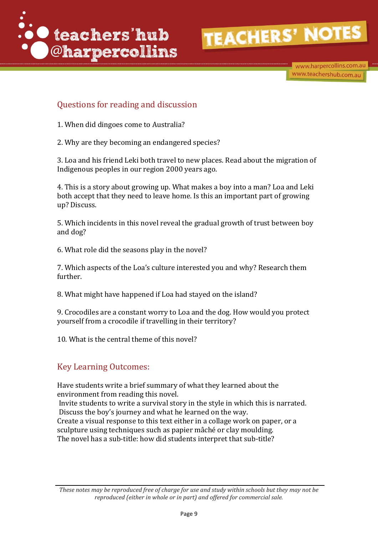

www.harpercollins.com.au www.teachershub.com.au

# Questions for reading and discussion

- 1. When did dingoes come to Australia?
- 2. Why are they becoming an endangered species?

3. Loa and his friend Leki both travel to new places. Read about the migration of Indigenous peoples in our region 2000 years ago.

4. This is a story about growing up. What makes a boy into a man? Loa and Leki both accept that they need to leave home. Is this an important part of growing up? Discuss.

5. Which incidents in this novel reveal the gradual growth of trust between boy and dog?

6. What role did the seasons play in the novel?

7. Which aspects of the Loa's culture interested you and why? Research them further.

8. What might have happened if Loa had stayed on the island?

9. Crocodiles are a constant worry to Loa and the dog. How would you protect yourself from a crocodile if travelling in their territory?

10. What is the central theme of this novel?

#### Key Learning Outcomes:

Have students write a brief summary of what they learned about the environment from reading this novel.

Invite students to write a survival story in the style in which this is narrated. Discuss the boy's journey and what he learned on the way. Create a visual response to this text either in a collage work on paper, or a sculpture using techniques such as papier mâché or clay moulding. The novel has a sub-title: how did students interpret that sub-title?

*These notes may be reproduced free of charge for use and study within schools but they may not be reproduced (either in whole or in part) and offered for commercial sale.*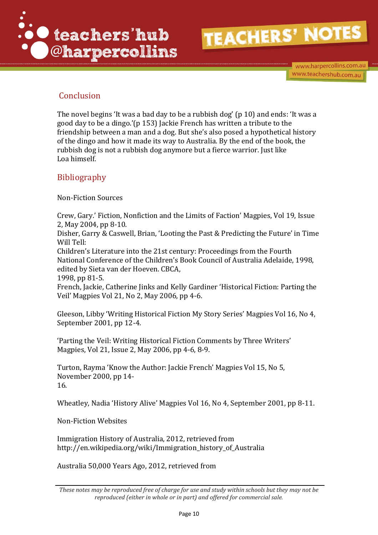

www.harpercollins.com.au www.teachershub.com.au

# Conclusion

The novel begins 'It was a bad day to be a rubbish dog' (p 10) and ends: 'It was a good day to be a dingo.'(p 153) Jackie French has written a tribute to the friendship between a man and a dog. But she's also posed a hypothetical history of the dingo and how it made its way to Australia. By the end of the book, the rubbish dog is not a rubbish dog anymore but a fierce warrior. Just like Loa himself.

# Bibliography

Non-Fiction Sources

Crew, Gary.' Fiction, Nonfiction and the Limits of Faction' Magpies, Vol 19, Issue 2, May 2004, pp 8-10.

Disher, Garry & Caswell, Brian, 'Looting the Past & Predicting the Future' in Time Will Tell:

Children's Literature into the 21st century: Proceedings from the Fourth National Conference of the Children's Book Council of Australia Adelaide, 1998, edited by Sieta van der Hoeven. CBCA,

1998, pp 81-5.

French, Jackie, Catherine Jinks and Kelly Gardiner 'Historical Fiction: Parting the Veil' Magpies Vol 21, No 2, May 2006, pp 4-6.

Gleeson, Libby 'Writing Historical Fiction My Story Series' Magpies Vol 16, No 4, September 2001, pp 12-4.

'Parting the Veil: Writing Historical Fiction Comments by Three Writers' Magpies, Vol 21, Issue 2, May 2006, pp 4-6, 8-9.

Turton, Rayma 'Know the Author: Jackie French' Magpies Vol 15, No 5, November 2000, pp 14- 16.

Wheatley, Nadia 'History Alive' Magpies Vol 16, No 4, September 2001, pp 8-11.

Non-Fiction Websites

Immigration History of Australia, 2012, retrieved from http://en.wikipedia.org/wiki/Immigration\_history\_of\_Australia

Australia 50,000 Years Ago, 2012, retrieved from

*These notes may be reproduced free of charge for use and study within schools but they may not be reproduced (either in whole or in part) and offered for commercial sale.*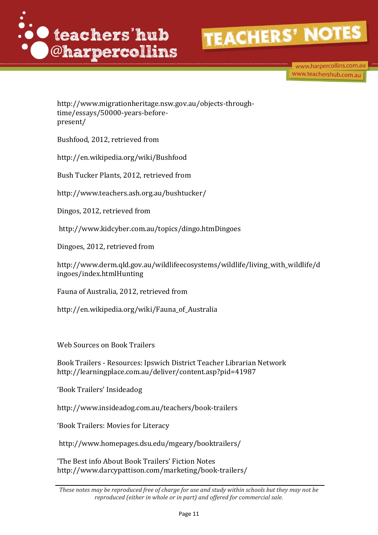

www.harpercollins.com.au www.teachershub.com.au

http://www.migrationheritage.nsw.gov.au/objects-throughtime/essays/50000-years-beforepresent/

Bushfood, 2012, retrieved from

http://en.wikipedia.org/wiki/Bushfood

Bush Tucker Plants, 2012, retrieved from

http://www.teachers.ash.org.au/bushtucker/

Dingos, 2012, retrieved from

http://www.kidcyber.com.au/topics/dingo.htmDingoes

Dingoes, 2012, retrieved from

http://www.derm.qld.gov.au/wildlifeecosystems/wildlife/living\_with\_wildlife/d ingoes/index.htmlHunting

Fauna of Australia, 2012, retrieved from

http://en.wikipedia.org/wiki/Fauna\_of\_Australia

Web Sources on Book Trailers

Book Trailers - Resources: Ipswich District Teacher Librarian Network http://learningplace.com.au/deliver/content.asp?pid=41987

'Book Trailers' Insideadog

http://www.insideadog.com.au/teachers/book-trailers

'Book Trailers: Movies for Literacy

http://www.homepages.dsu.edu/mgeary/booktrailers/

'The Best info About Book Trailers' Fiction Notes http://www.darcypattison.com/marketing/book-trailers/